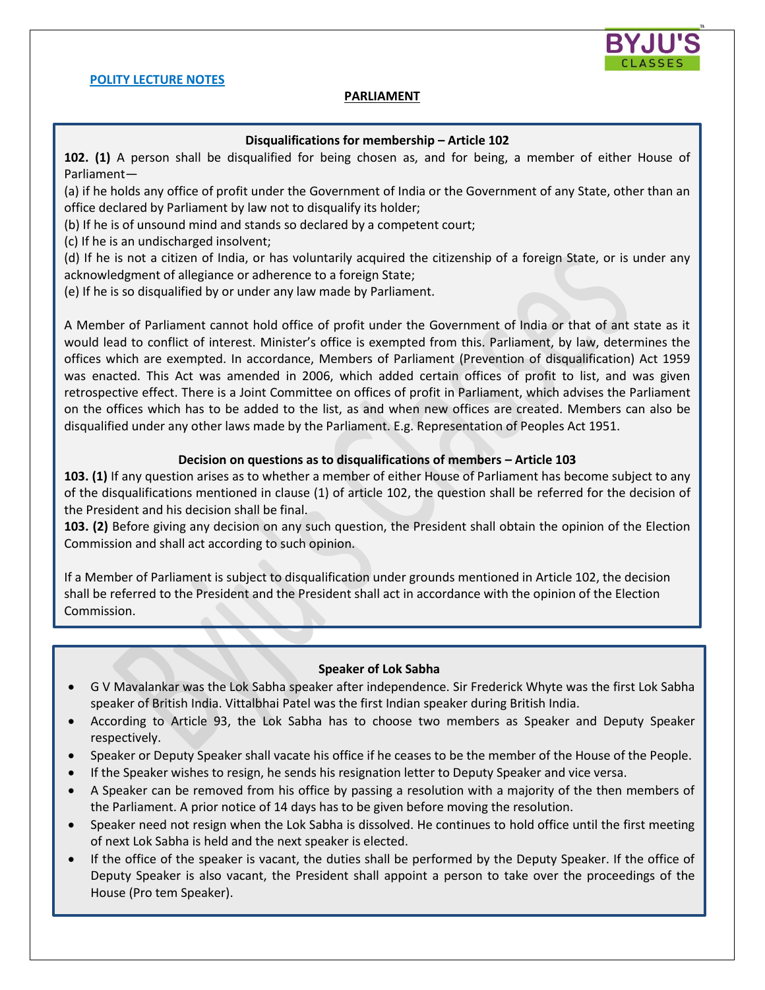

#### **POLITY LECTURE NOTES**

## **PARLIAMENT**

#### **Disqualifications for membership – Article 102**

**102. (1)** A person shall be disqualified for being chosen as, and for being, a member of either House of Parliament—

(a) if he holds any office of profit under the Government of India or the Government of any State, other than an office declared by Parliament by law not to disqualify its holder;

(b) If he is of unsound mind and stands so declared by a competent court;

(c) If he is an undischarged insolvent;

(d) If he is not a citizen of India, or has voluntarily acquired the citizenship of a foreign State, or is under any acknowledgment of allegiance or adherence to a foreign State;

(e) If he is so disqualified by or under any law made by Parliament.

A Member of Parliament cannot hold office of profit under the Government of India or that of ant state as it would lead to conflict of interest. Minister's office is exempted from this. Parliament, by law, determines the offices which are exempted. In accordance, Members of Parliament (Prevention of disqualification) Act 1959 was enacted. This Act was amended in 2006, which added certain offices of profit to list, and was given retrospective effect. There is a Joint Committee on offices of profit in Parliament, which advises the Parliament on the offices which has to be added to the list, as and when new offices are created. Members can also be disqualified under any other laws made by the Parliament. E.g. Representation of Peoples Act 1951.

#### **Decision on questions as to disqualifications of members – Article 103**

**103. (1)** If any question arises as to whether a member of either House of Parliament has become subject to any of the disqualifications mentioned in clause (1) of article 102, the question shall be referred for the decision of the President and his decision shall be final.

**103. (2)** Before giving any decision on any such question, the President shall obtain the opinion of the Election Commission and shall act according to such opinion.

If a Member of Parliament is subject to disqualification under grounds mentioned in Article 102, the decision shall be referred to the President and the President shall act in accordance with the opinion of the Election Commission.

#### **Speaker of Lok Sabha**

- G V Mavalankar was the Lok Sabha speaker after independence. Sir Frederick Whyte was the first Lok Sabha speaker of British India. Vittalbhai Patel was the first Indian speaker during British India.
- According to Article 93, the Lok Sabha has to choose two members as Speaker and Deputy Speaker respectively.
- Speaker or Deputy Speaker shall vacate his office if he ceases to be the member of the House of the People.
- If the Speaker wishes to resign, he sends his resignation letter to Deputy Speaker and vice versa.
- A Speaker can be removed from his office by passing a resolution with a majority of the then members of the Parliament. A prior notice of 14 days has to be given before moving the resolution.
- Speaker need not resign when the Lok Sabha is dissolved. He continues to hold office until the first meeting of next Lok Sabha is held and the next speaker is elected.
- If the office of the speaker is vacant, the duties shall be performed by the Deputy Speaker. If the office of Deputy Speaker is also vacant, the President shall appoint a person to take over the proceedings of the House (Pro tem Speaker).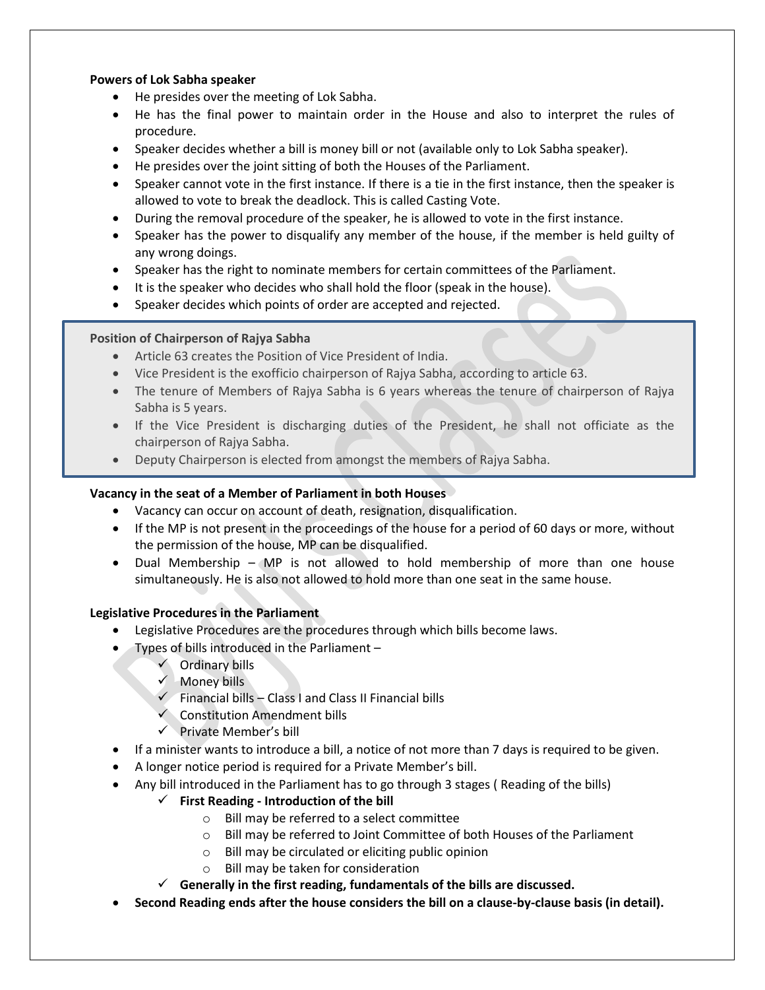# **Powers of Lok Sabha speaker**

- He presides over the meeting of Lok Sabha.
- He has the final power to maintain order in the House and also to interpret the rules of procedure.
- Speaker decides whether a bill is money bill or not (available only to Lok Sabha speaker).
- He presides over the joint sitting of both the Houses of the Parliament.
- Speaker cannot vote in the first instance. If there is a tie in the first instance, then the speaker is allowed to vote to break the deadlock. This is called Casting Vote.
- During the removal procedure of the speaker, he is allowed to vote in the first instance.
- Speaker has the power to disqualify any member of the house, if the member is held guilty of any wrong doings.
- Speaker has the right to nominate members for certain committees of the Parliament.
- It is the speaker who decides who shall hold the floor (speak in the house).
- Speaker decides which points of order are accepted and rejected.

## **Position of Chairperson of Rajya Sabha**

- Article 63 creates the Position of Vice President of India.
- Vice President is the exofficio chairperson of Rajya Sabha, according to article 63.
- The tenure of Members of Rajya Sabha is 6 years whereas the tenure of chairperson of Rajya Sabha is 5 years.
- If the Vice President is discharging duties of the President, he shall not officiate as the chairperson of Rajya Sabha.
- Deputy Chairperson is elected from amongst the members of Rajya Sabha.

# **Vacancy in the seat of a Member of Parliament in both Houses**

- Vacancy can occur on account of death, resignation, disqualification.
- If the MP is not present in the proceedings of the house for a period of 60 days or more, without the permission of the house, MP can be disqualified.
- Dual Membership MP is not allowed to hold membership of more than one house simultaneously. He is also not allowed to hold more than one seat in the same house.

# **Legislative Procedures in the Parliament**

- Legislative Procedures are the procedures through which bills become laws.
- Types of bills introduced in the Parliament
	- $\checkmark$  Ordinary bills
	- $\sqrt{ }$  Money bills
	- $\checkmark$  Financial bills Class I and Class II Financial bills
	- $\checkmark$  Constitution Amendment bills
	- $\checkmark$  Private Member's bill
- If a minister wants to introduce a bill, a notice of not more than 7 days is required to be given.
- A longer notice period is required for a Private Member's bill.
- Any bill introduced in the Parliament has to go through 3 stages ( Reading of the bills)
	- **First Reading - Introduction of the bill**
		- o Bill may be referred to a select committee
		- o Bill may be referred to Joint Committee of both Houses of the Parliament
		- o Bill may be circulated or eliciting public opinion
		- o Bill may be taken for consideration
	- **Generally in the first reading, fundamentals of the bills are discussed.**
- **Second Reading ends after the house considers the bill on a clause-by-clause basis (in detail).**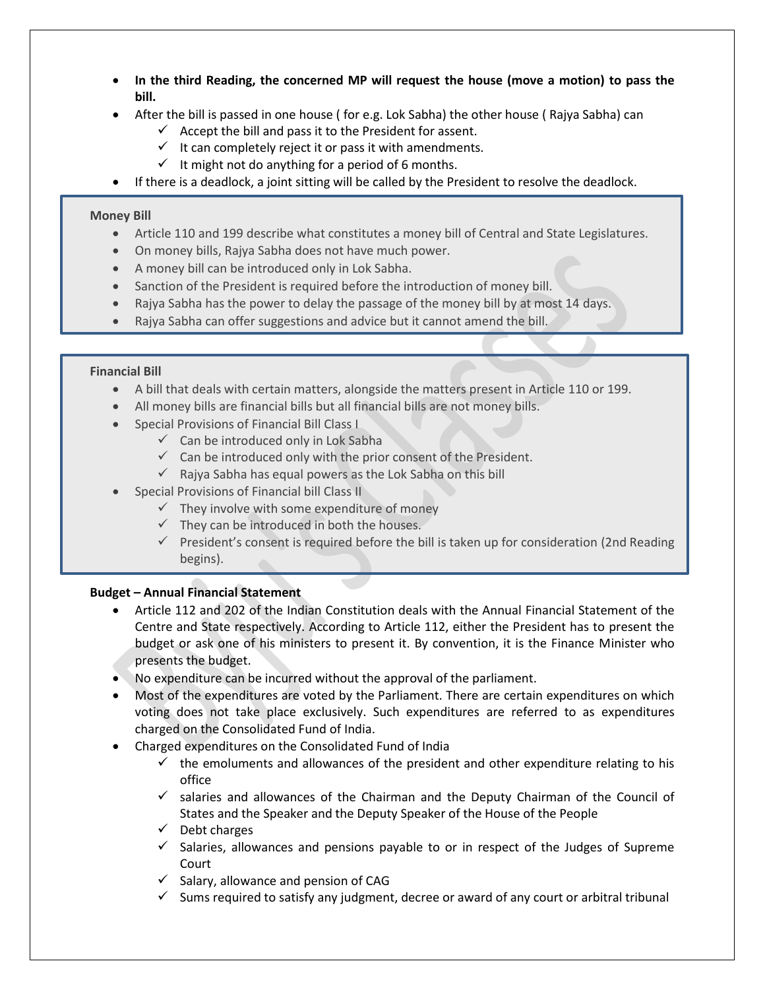- **In the third Reading, the concerned MP will request the house (move a motion) to pass the bill.**
- After the bill is passed in one house ( for e.g. Lok Sabha) the other house ( Rajya Sabha) can
	- $\checkmark$  Accept the bill and pass it to the President for assent.
	- $\checkmark$  It can completely reject it or pass it with amendments.
	- $\checkmark$  It might not do anything for a period of 6 months.
- If there is a deadlock, a joint sitting will be called by the President to resolve the deadlock.

## **Money Bill**

- Article 110 and 199 describe what constitutes a money bill of Central and State Legislatures.
- On money bills, Rajya Sabha does not have much power.
- A money bill can be introduced only in Lok Sabha.
- Sanction of the President is required before the introduction of money bill.
- Rajya Sabha has the power to delay the passage of the money bill by at most 14 days.
- Rajya Sabha can offer suggestions and advice but it cannot amend the bill.

## **Financial Bill**

- A bill that deals with certain matters, alongside the matters present in Article 110 or 199.
- All money bills are financial bills but all financial bills are not money bills.
- Special Provisions of Financial Bill Class I
	- $\checkmark$  Can be introduced only in Lok Sabha
	- $\checkmark$  Can be introduced only with the prior consent of the President.
	- $\checkmark$  Rajya Sabha has equal powers as the Lok Sabha on this bill
- Special Provisions of Financial bill Class II
	- $\checkmark$  They involve with some expenditure of money
	- $\checkmark$  They can be introduced in both the houses.
	- $\checkmark$  President's consent is required before the bill is taken up for consideration (2nd Reading begins).

# **Budget – Annual Financial Statement**

- Article 112 and 202 of the Indian Constitution deals with the Annual Financial Statement of the Centre and State respectively. According to Article 112, either the President has to present the budget or ask one of his ministers to present it. By convention, it is the Finance Minister who presents the budget.
- No expenditure can be incurred without the approval of the parliament.
- Most of the expenditures are voted by the Parliament. There are certain expenditures on which voting does not take place exclusively. Such expenditures are referred to as expenditures charged on the Consolidated Fund of India.
- Charged expenditures on the Consolidated Fund of India
	- $\checkmark$  the emoluments and allowances of the president and other expenditure relating to his office
	- $\checkmark$  salaries and allowances of the Chairman and the Deputy Chairman of the Council of States and the Speaker and the Deputy Speaker of the House of the People
	- $\checkmark$  Debt charges
	- $\checkmark$  Salaries, allowances and pensions payable to or in respect of the Judges of Supreme **Court**
	- $\checkmark$  Salary, allowance and pension of CAG
	- $\checkmark$  Sums required to satisfy any judgment, decree or award of any court or arbitral tribunal